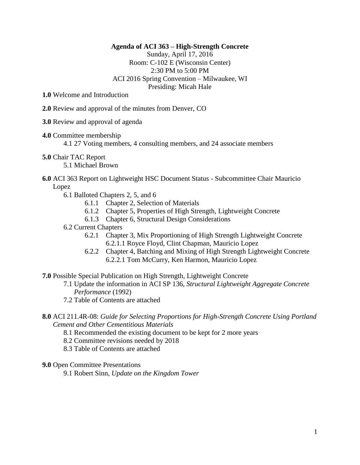#### **Agenda of ACI 363 – High-Strength Concrete**

Sunday, April 17, 2016 Room: C-102 E (Wisconsin Center) 2:30 PM to 5:00 PM ACI 2016 Spring Convention – Milwaukee, WI Presiding: Micah Hale

- **1.0** Welcome and Introduction
- **2.0** Review and approval of the minutes from Denver, CO
- **3.0** Review and approval of agenda
- **4.0** Committee membership

4.1 27 Voting members, 4 consulting members, and 24 associate members

**5.0** Chair TAC Report

5.1 Michael Brown

# **6.0** ACI 363 Report on Lightweight HSC Document Status - Subcommittee Chair Mauricio Lopez

- 6.1 Balloted Chapters 2, 5, and 6
	- 6.1.1 Chapter 2, Selection of Materials
	- 6.1.2 Chapter 5, Properties of High Strength, Lightweight Concrete
	- 6.1.3 Chapter 6, Structural Design Considerations

# 6.2 Current Chapters

- 6.2.1 Chapter 3, Mix Proportioning of High Strength Lightweight Concrete 6.2.1.1 Royce Floyd, Clint Chapman, Mauricio Lopez
- 6.2.2 Chapter 4, Batching and Mixing of High Strength Lightweight Concrete 6.2.2.1 Tom McCurry, Ken Harmon, Mauricio Lopez

### **7.0** Possible Special Publication on High Strength, Lightweight Concrete

- 7.1 Update the information in ACI SP 136, *Structural Lightweight Aggregate Concrete Performance* (1992)
- 7.2 Table of Contents are attached
- **8.0** ACI 211.4R-08: *Guide for Selecting Proportions for High-Strength Concrete Using Portland Cement and Other Cementitious Materials*
	- 8.1 Recommended the existing document to be kept for 2 more years
	- 8.2 Committee revisions needed by 2018
	- 8.3 Table of Contents are attached

#### **9.0** Open Committee Presentations

9.1 Robert Sinn, *Update on the Kingdom Tower*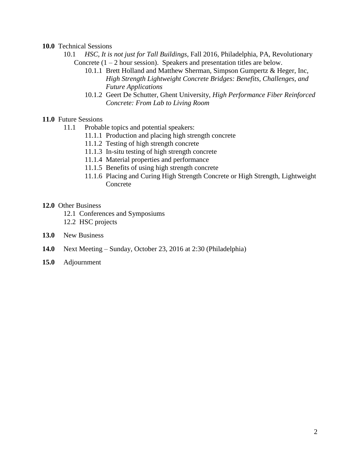#### **10.0** Technical Sessions

- 10.1 *HSC, It is not just for Tall Buildings*, Fall 2016, Philadelphia, PA, Revolutionary Concrete  $(1 – 2$  hour session). Speakers and presentation titles are below.
	- 10.1.1 Brett Holland and Matthew Sherman, Simpson Gumpertz & Heger, Inc, *High Strength Lightweight Concrete Bridges: Benefits, Challenges, and Future Applications*
	- 10.1.2 Geert De Schutter, Ghent University, *High Performance Fiber Reinforced Concrete: From Lab to Living Room*

# **11.0** Future Sessions

- 11.1 Probable topics and potential speakers:
	- 11.1.1 Production and placing high strength concrete
	- 11.1.2 Testing of high strength concrete
	- 11.1.3 In-situ testing of high strength concrete
	- 11.1.4 Material properties and performance
	- 11.1.5 Benefits of using high strength concrete
	- 11.1.6 Placing and Curing High Strength Concrete or High Strength, Lightweight Concrete

### **12.0** Other Business

- 12.1 Conferences and Symposiums
- 12.2 HSC projects
- **13.0** New Business
- **14.0** Next Meeting Sunday, October 23, 2016 at 2:30 (Philadelphia)
- **15.0** Adjournment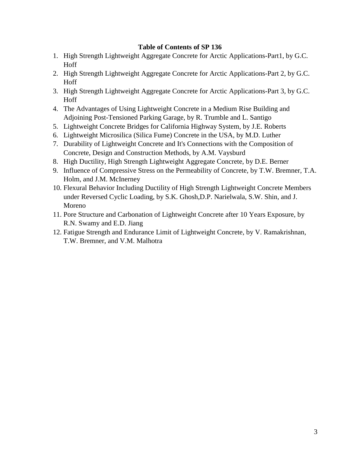## **Table of Contents of SP 136**

- 1. High Strength Lightweight Aggregate Concrete for Arctic Applications-Part1, by G.C. Hoff
- 2. High Strength Lightweight Aggregate Concrete for Arctic Applications-Part 2, by G.C. Hoff
- 3. High Strength Lightweight Aggregate Concrete for Arctic Applications-Part 3, by G.C. Hoff
- 4. The Advantages of Using Lightweight Concrete in a Medium Rise Building and Adjoining Post-Tensioned Parking Garage, by R. Trumble and L. Santigo
- 5. Lightweight Concrete Bridges for California Highway System, by J.E. Roberts
- 6. Lightweight Microsilica (Silica Fume) Concrete in the USA, by M.D. Luther
- 7. Durability of Lightweight Concrete and It's Connections with the Composition of Concrete, Design and Construction Methods, by A.M. Vaysburd
- 8. High Ductility, High Strength Lightweight Aggregate Concrete, by D.E. Berner
- 9. Influence of Compressive Stress on the Permeability of Concrete, by T.W. Bremner, T.A. Holm, and J.M. McInerney
- 10. Flexural Behavior Including Ductility of High Strength Lightweight Concrete Members under Reversed Cyclic Loading, by S.K. Ghosh,D.P. Narielwala, S.W. Shin, and J. Moreno
- 11. Pore Structure and Carbonation of Lightweight Concrete after 10 Years Exposure, by R.N. Swamy and E.D. Jiang
- 12. Fatigue Strength and Endurance Limit of Lightweight Concrete, by V. Ramakrishnan, T.W. Bremner, and V.M. Malhotra